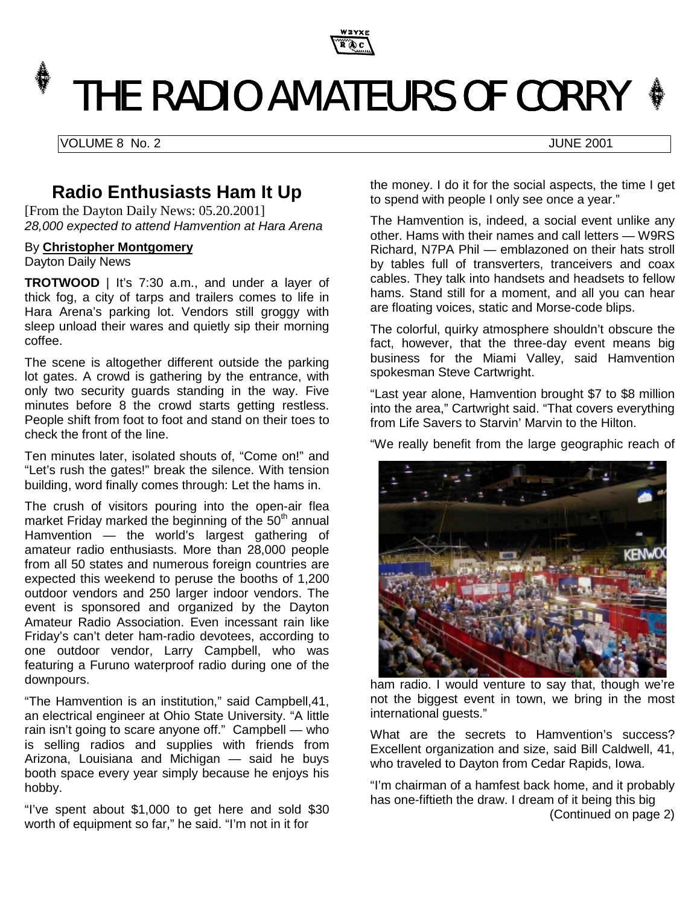

# THE RADIO AMATEURS OF CORRY  $*$

VOLUME 8 No. 2 JUNE 2001

# **Radio Enthusiasts Ham It Up**

[From the Dayton Daily News: 05.20.2001] *28,000 expected to attend Hamvention at Hara Arena*

#### By **Christopher Montgomery**

Dayton Daily News

**TROTWOOD** | It's 7:30 a.m., and under a layer of thick fog, a city of tarps and trailers comes to life in Hara Arena's parking lot. Vendors still groggy with sleep unload their wares and quietly sip their morning coffee.

The scene is altogether different outside the parking lot gates. A crowd is gathering by the entrance, with only two security guards standing in the way. Five minutes before 8 the crowd starts getting restless. People shift from foot to foot and stand on their toes to check the front of the line.

Ten minutes later, isolated shouts of, "Come on!" and "Let's rush the gates!" break the silence. With tension building, word finally comes through: Let the hams in.

The crush of visitors pouring into the open-air flea market Friday marked the beginning of the  $50<sup>th</sup>$  annual Hamvention — the world's largest gathering of amateur radio enthusiasts. More than 28,000 people from all 50 states and numerous foreign countries are expected this weekend to peruse the booths of 1,200 outdoor vendors and 250 larger indoor vendors. The event is sponsored and organized by the Dayton Amateur Radio Association. Even incessant rain like Friday's can't deter ham-radio devotees, according to one outdoor vendor, Larry Campbell, who was featuring a Furuno waterproof radio during one of the downpours.

"The Hamvention is an institution," said Campbell,41, an electrical engineer at Ohio State University. "A little rain isn't going to scare anyone off." Campbell — who is selling radios and supplies with friends from Arizona, Louisiana and Michigan — said he buys booth space every year simply because he enjoys his hobby.

"I've spent about \$1,000 to get here and sold \$30 worth of equipment so far," he said. "I'm not in it for

the money. I do it for the social aspects, the time I get to spend with people I only see once a year."

The Hamvention is, indeed, a social event unlike any other. Hams with their names and call letters — W9RS Richard, N7PA Phil — emblazoned on their hats stroll by tables full of transverters, tranceivers and coax cables. They talk into handsets and headsets to fellow hams. Stand still for a moment, and all you can hear are floating voices, static and Morse-code blips.

The colorful, quirky atmosphere shouldn't obscure the fact, however, that the three-day event means big business for the Miami Valley, said Hamvention spokesman Steve Cartwright.

"Last year alone, Hamvention brought \$7 to \$8 million into the area," Cartwright said. "That covers everything from Life Savers to Starvin' Marvin to the Hilton.

"We really benefit from the large geographic reach of



ham radio. I would venture to say that, though we're not the biggest event in town, we bring in the most international guests."

What are the secrets to Hamvention's success? Excellent organization and size, said Bill Caldwell, 41, who traveled to Dayton from Cedar Rapids, Iowa.

"I'm chairman of a hamfest back home, and it probably has one-fiftieth the draw. I dream of it being this big (Continued on page 2)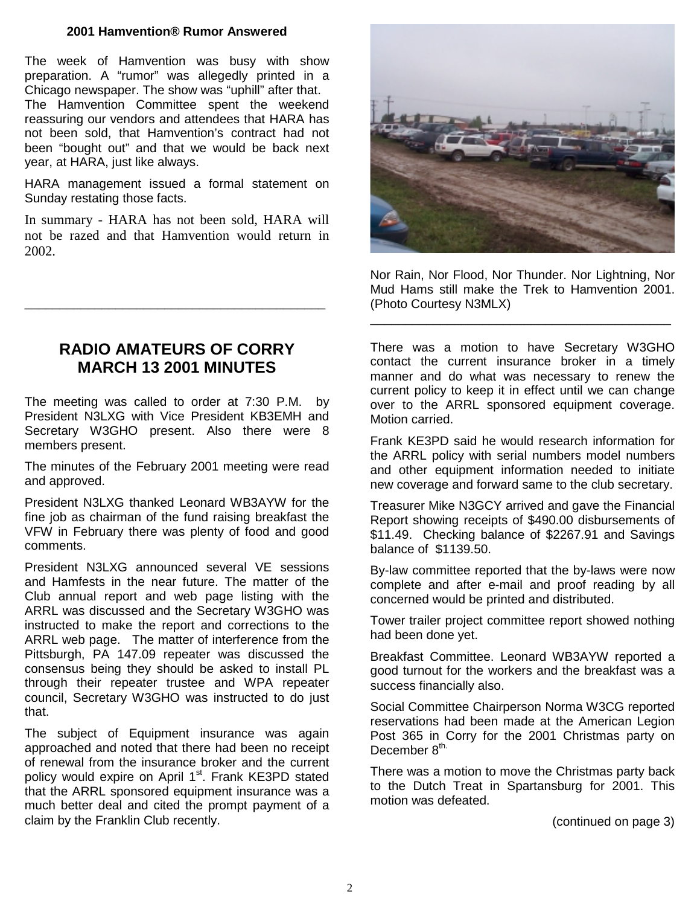#### **2001 Hamvention® Rumor Answered**

The week of Hamvention was busy with show preparation. A "rumor" was allegedly printed in a Chicago newspaper. The show was "uphill" after that. The Hamvention Committee spent the weekend reassuring our vendors and attendees that HARA has not been sold, that Hamvention's contract had not been "bought out" and that we would be back next year, at HARA, just like always.

HARA management issued a formal statement on Sunday restating those facts.

In summary - HARA has not been sold, HARA will not be razed and that Hamvention would return in 2002.

\_\_\_\_\_\_\_\_\_\_\_\_\_\_\_\_\_\_\_\_\_\_\_\_\_\_\_\_\_\_\_\_\_\_\_\_\_\_\_\_\_\_\_



The meeting was called to order at 7:30 P.M. by President N3LXG with Vice President KB3EMH and Secretary W3GHO present. Also there were 8 members present.

The minutes of the February 2001 meeting were read and approved.

President N3LXG thanked Leonard WB3AYW for the fine job as chairman of the fund raising breakfast the VFW in February there was plenty of food and good comments.

President N3LXG announced several VE sessions and Hamfests in the near future. The matter of the Club annual report and web page listing with the ARRL was discussed and the Secretary W3GHO was instructed to make the report and corrections to the ARRL web page. The matter of interference from the Pittsburgh, PA 147.09 repeater was discussed the consensus being they should be asked to install PL through their repeater trustee and WPA repeater council, Secretary W3GHO was instructed to do just that.

The subject of Equipment insurance was again approached and noted that there had been no receipt of renewal from the insurance broker and the current policy would expire on April 1<sup>st</sup>. Frank KE3PD stated that the ARRL sponsored equipment insurance was a much better deal and cited the prompt payment of a claim by the Franklin Club recently.



Nor Rain, Nor Flood, Nor Thunder. Nor Lightning, Nor Mud Hams still make the Trek to Hamvention 2001. (Photo Courtesy N3MLX)

\_\_\_\_\_\_\_\_\_\_\_\_\_\_\_\_\_\_\_\_\_\_\_\_\_\_\_\_\_\_\_\_\_\_\_\_\_\_\_\_\_\_\_

There was a motion to have Secretary W3GHO contact the current insurance broker in a timely manner and do what was necessary to renew the current policy to keep it in effect until we can change over to the ARRL sponsored equipment coverage. Motion carried.

Frank KE3PD said he would research information for the ARRL policy with serial numbers model numbers and other equipment information needed to initiate new coverage and forward same to the club secretary.

Treasurer Mike N3GCY arrived and gave the Financial Report showing receipts of \$490.00 disbursements of \$11.49. Checking balance of \$2267.91 and Savings balance of \$1139.50.

By-law committee reported that the by-laws were now complete and after e-mail and proof reading by all concerned would be printed and distributed.

Tower trailer project committee report showed nothing had been done yet.

Breakfast Committee. Leonard WB3AYW reported a good turnout for the workers and the breakfast was a success financially also.

Social Committee Chairperson Norma W3CG reported reservations had been made at the American Legion Post 365 in Corry for the 2001 Christmas party on December 8<sup>th.</sup>

There was a motion to move the Christmas party back to the Dutch Treat in Spartansburg for 2001. This motion was defeated.

(continued on page 3)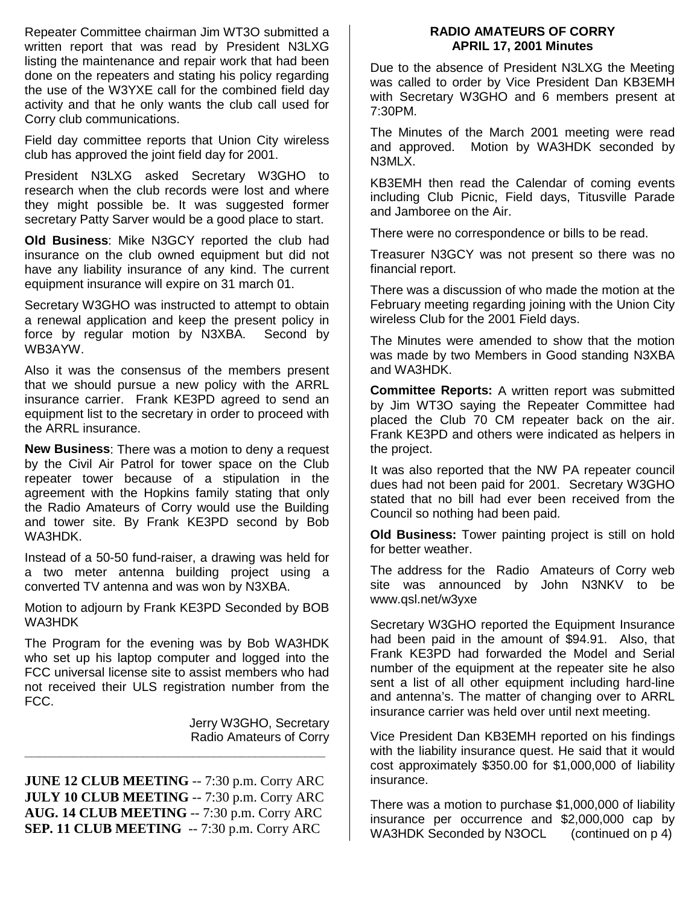Repeater Committee chairman Jim WT3O submitted a written report that was read by President N3LXG listing the maintenance and repair work that had been done on the repeaters and stating his policy regarding the use of the W3YXE call for the combined field day activity and that he only wants the club call used for Corry club communications.

Field day committee reports that Union City wireless club has approved the joint field day for 2001.

President N3LXG asked Secretary W3GHO to research when the club records were lost and where they might possible be. It was suggested former secretary Patty Sarver would be a good place to start.

**Old Business**: Mike N3GCY reported the club had insurance on the club owned equipment but did not have any liability insurance of any kind. The current equipment insurance will expire on 31 march 01.

Secretary W3GHO was instructed to attempt to obtain a renewal application and keep the present policy in force by regular motion by N3XBA. Second by WB3AYW.

Also it was the consensus of the members present that we should pursue a new policy with the ARRL insurance carrier. Frank KE3PD agreed to send an equipment list to the secretary in order to proceed with the ARRL insurance.

**New Business**: There was a motion to deny a request by the Civil Air Patrol for tower space on the Club repeater tower because of a stipulation in the agreement with the Hopkins family stating that only the Radio Amateurs of Corry would use the Building and tower site. By Frank KE3PD second by Bob WA3HDK.

Instead of a 50-50 fund-raiser, a drawing was held for a two meter antenna building project using a converted TV antenna and was won by N3XBA.

Motion to adjourn by Frank KE3PD Seconded by BOB WA3HDK

The Program for the evening was by Bob WA3HDK who set up his laptop computer and logged into the FCC universal license site to assist members who had not received their ULS registration number from the FCC.

> Jerry W3GHO, Secretary Radio Amateurs of Corry

**JUNE 12 CLUB MEETING** -- 7:30 p.m. Corry ARC **JULY 10 CLUB MEETING** -- 7:30 p.m. Corry ARC **AUG. 14 CLUB MEETING** -- 7:30 p.m. Corry ARC **SEP. 11 CLUB MEETING** -- 7:30 p.m. Corry ARC

**\_\_\_\_\_\_\_\_\_\_\_\_\_\_\_\_\_\_\_\_\_\_\_\_\_\_\_\_\_\_\_\_\_\_\_\_\_\_\_\_\_\_\_**

#### **RADIO AMATEURS OF CORRY APRIL 17, 2001 Minutes**

Due to the absence of President N3LXG the Meeting was called to order by Vice President Dan KB3EMH with Secretary W3GHO and 6 members present at 7:30PM.

The Minutes of the March 2001 meeting were read and approved. Motion by WA3HDK seconded by N3MLX.

KB3EMH then read the Calendar of coming events including Club Picnic, Field days, Titusville Parade and Jamboree on the Air.

There were no correspondence or bills to be read.

Treasurer N3GCY was not present so there was no financial report.

There was a discussion of who made the motion at the February meeting regarding joining with the Union City wireless Club for the 2001 Field days.

The Minutes were amended to show that the motion was made by two Members in Good standing N3XBA and WA3HDK.

**Committee Reports:** A written report was submitted by Jim WT3O saying the Repeater Committee had placed the Club 70 CM repeater back on the air. Frank KE3PD and others were indicated as helpers in the project.

It was also reported that the NW PA repeater council dues had not been paid for 2001. Secretary W3GHO stated that no bill had ever been received from the Council so nothing had been paid.

**Old Business:** Tower painting project is still on hold for better weather.

The address for the Radio Amateurs of Corry web site was announced by John N3NKV to be www.qsl.net/w3yxe

Secretary W3GHO reported the Equipment Insurance had been paid in the amount of \$94.91. Also, that Frank KE3PD had forwarded the Model and Serial number of the equipment at the repeater site he also sent a list of all other equipment including hard-line and antenna's. The matter of changing over to ARRL insurance carrier was held over until next meeting.

Vice President Dan KB3EMH reported on his findings with the liability insurance quest. He said that it would cost approximately \$350.00 for \$1,000,000 of liability insurance.

There was a motion to purchase \$1,000,000 of liability insurance per occurrence and \$2,000,000 cap by WA3HDK Seconded by N3OCL (continued on p 4)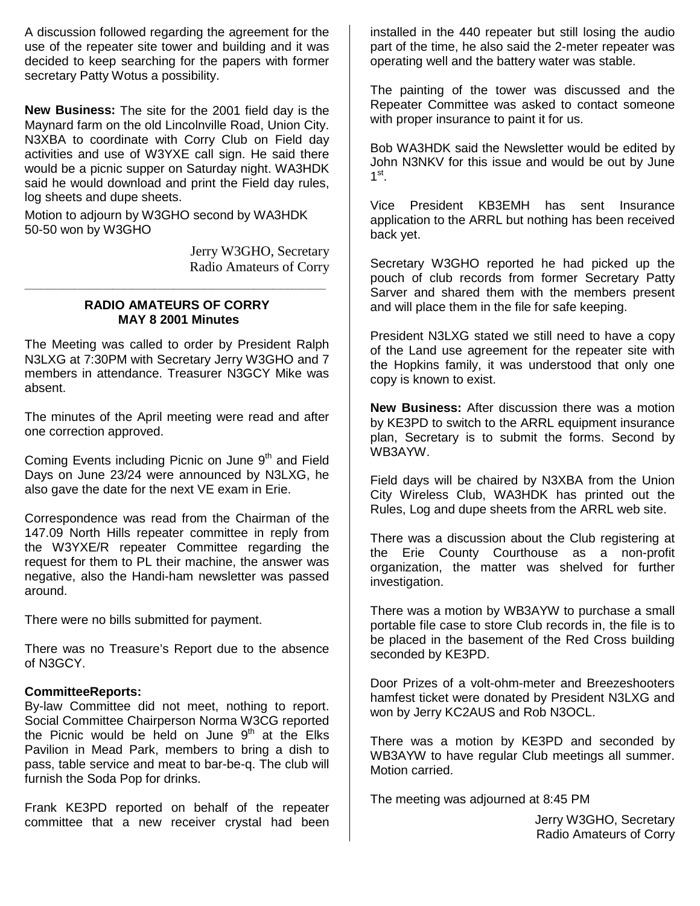A discussion followed regarding the agreement for the use of the repeater site tower and building and it was decided to keep searching for the papers with former secretary Patty Wotus a possibility.

**New Business:** The site for the 2001 field day is the Maynard farm on the old Lincolnville Road, Union City. N3XBA to coordinate with Corry Club on Field day activities and use of W3YXE call sign. He said there would be a picnic supper on Saturday night. WA3HDK said he would download and print the Field day rules, log sheets and dupe sheets.

Motion to adjourn by W3GHO second by WA3HDK 50-50 won by W3GHO

> Jerry W3GHO, Secretary Radio Amateurs of Corry

#### **RADIO AMATEURS OF CORRY MAY 8 2001 Minutes**

\_\_\_\_\_\_\_\_\_\_\_\_\_\_\_\_\_\_\_\_\_\_\_\_\_\_\_\_\_\_\_\_\_\_\_\_\_\_\_\_\_\_\_\_\_\_\_\_\_\_\_\_\_\_\_\_\_\_\_\_\_\_\_\_\_\_\_\_\_\_\_\_\_\_\_\_\_\_\_

The Meeting was called to order by President Ralph N3LXG at 7:30PM with Secretary Jerry W3GHO and 7 members in attendance. Treasurer N3GCY Mike was absent.

The minutes of the April meeting were read and after one correction approved.

Coming Events including Picnic on June  $9<sup>th</sup>$  and Field Days on June 23/24 were announced by N3LXG, he also gave the date for the next VE exam in Erie.

Correspondence was read from the Chairman of the 147.09 North Hills repeater committee in reply from the W3YXE/R repeater Committee regarding the request for them to PL their machine, the answer was negative, also the Handi-ham newsletter was passed around.

There were no bills submitted for payment.

There was no Treasure's Report due to the absence of N3GCY.

#### **CommitteeReports:**

By-law Committee did not meet, nothing to report. Social Committee Chairperson Norma W3CG reported the Picnic would be held on June  $9<sup>th</sup>$  at the Elks Pavilion in Mead Park, members to bring a dish to pass, table service and meat to bar-be-q. The club will furnish the Soda Pop for drinks.

Frank KE3PD reported on behalf of the repeater committee that a new receiver crystal had been installed in the 440 repeater but still losing the audio part of the time, he also said the 2-meter repeater was operating well and the battery water was stable.

The painting of the tower was discussed and the Repeater Committee was asked to contact someone with proper insurance to paint it for us.

Bob WA3HDK said the Newsletter would be edited by John N3NKV for this issue and would be out by June  $1^{\text{st}}$ .

Vice President KB3EMH has sent Insurance application to the ARRL but nothing has been received back yet.

Secretary W3GHO reported he had picked up the pouch of club records from former Secretary Patty Sarver and shared them with the members present and will place them in the file for safe keeping.

President N3LXG stated we still need to have a copy of the Land use agreement for the repeater site with the Hopkins family, it was understood that only one copy is known to exist.

**New Business:** After discussion there was a motion by KE3PD to switch to the ARRL equipment insurance plan, Secretary is to submit the forms. Second by WB3AYW.

Field days will be chaired by N3XBA from the Union City Wireless Club, WA3HDK has printed out the Rules, Log and dupe sheets from the ARRL web site.

There was a discussion about the Club registering at the Erie County Courthouse as a non-profit organization, the matter was shelved for further investigation.

There was a motion by WB3AYW to purchase a small portable file case to store Club records in, the file is to be placed in the basement of the Red Cross building seconded by KE3PD.

Door Prizes of a volt-ohm-meter and Breezeshooters hamfest ticket were donated by President N3LXG and won by Jerry KC2AUS and Rob N3OCL.

There was a motion by KE3PD and seconded by WB3AYW to have regular Club meetings all summer. Motion carried.

The meeting was adjourned at 8:45 PM

Jerry W3GHO, Secretary Radio Amateurs of Corry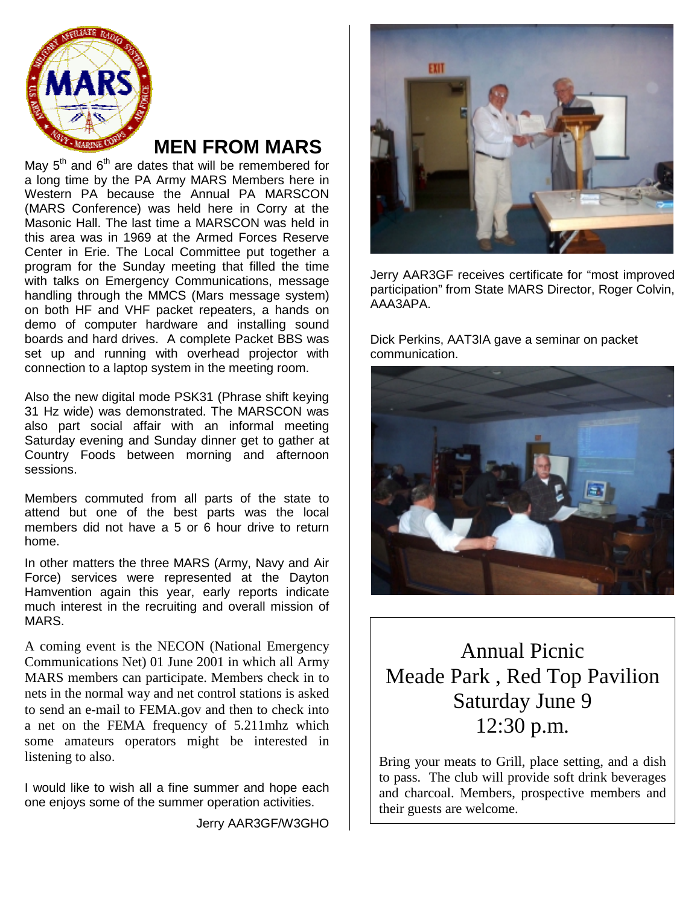

# **MEN FROM MARS**

May  $5<sup>th</sup>$  and  $6<sup>th</sup>$  are dates that will be remembered for a long time by the PA Army MARS Members here in Western PA because the Annual PA MARSCON (MARS Conference) was held here in Corry at the Masonic Hall. The last time a MARSCON was held in this area was in 1969 at the Armed Forces Reserve Center in Erie. The Local Committee put together a program for the Sunday meeting that filled the time with talks on Emergency Communications, message handling through the MMCS (Mars message system) on both HF and VHF packet repeaters, a hands on demo of computer hardware and installing sound boards and hard drives. A complete Packet BBS was set up and running with overhead projector with connection to a laptop system in the meeting room.

Also the new digital mode PSK31 (Phrase shift keying 31 Hz wide) was demonstrated. The MARSCON was also part social affair with an informal meeting Saturday evening and Sunday dinner get to gather at Country Foods between morning and afternoon sessions.

Members commuted from all parts of the state to attend but one of the best parts was the local members did not have a 5 or 6 hour drive to return home.

In other matters the three MARS (Army, Navy and Air Force) services were represented at the Dayton Hamvention again this year, early reports indicate much interest in the recruiting and overall mission of MARS.

A coming event is the NECON (National Emergency Communications Net) 01 June 2001 in which all Army MARS members can participate. Members check in to nets in the normal way and net control stations is asked to send an e-mail to FEMA.gov and then to check into a net on the FEMA frequency of 5.211mhz which some amateurs operators might be interested in listening to also.

I would like to wish all a fine summer and hope each one enjoys some of the summer operation activities.

Jerry AAR3GF/W3GHO



Jerry AAR3GF receives certificate for "most improved participation" from State MARS Director, Roger Colvin, AAA3APA.

Dick Perkins, AAT3IA gave a seminar on packet communication.



Annual Picnic Meade Park , Red Top Pavilion Saturday June 9 12:30 p.m.

Bring your meats to Grill, place setting, and a dish to pass. The club will provide soft drink beverages and charcoal. Members, prospective members and their guests are welcome.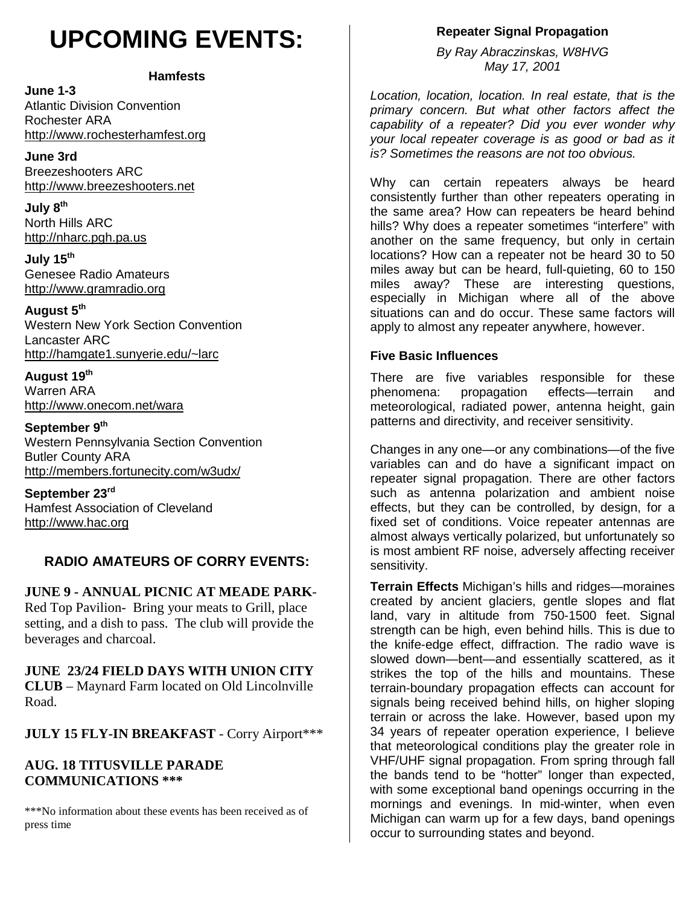# **UPCOMING EVENTS:**

#### **Hamfests**

**June 1-3** Atlantic Division Convention Rochester ARA http://www.rochesterhamfest.org

**June 3rd** Breezeshooters ARC http://www.breezeshooters.net

**July 8th** North Hills ARC http://nharc.pgh.pa.us

**July 15th** Genesee Radio Amateurs http://www.gramradio.org

**August 5th**

Western New York Section Convention Lancaster ARC http://hamgate1.sunyerie.edu/~larc

**August 19th** Warren ARA http://www.onecom.net/wara

September 9<sup>th</sup> Western Pennsylvania Section Convention Butler County ARA http://members.fortunecity.com/w3udx/

**September 23rd** Hamfest Association of Cleveland http://www.hac.org

## **RADIO AMATEURS OF CORRY EVENTS:**

**JUNE 9 - ANNUAL PICNIC AT MEADE PARK**-Red Top Pavilion- Bring your meats to Grill, place setting, and a dish to pass. The club will provide the beverages and charcoal.

#### **JUNE 23/24 FIELD DAYS WITH UNION CITY CLUB** – Maynard Farm located on Old Lincolnville Road.

**JULY 15 FLY-IN BREAKFAST** - Corry Airport\*\*\*

#### **AUG. 18 TITUSVILLE PARADE COMMUNICATIONS \*\*\***

\*\*\*No information about these events has been received as of press time

## **Repeater Signal Propagation**

*By Ray Abraczinskas, W8HVG May 17, 2001*

*Location, location, location. In real estate, that is the primary concern. But what other factors affect the capability of a repeater? Did you ever wonder why your local repeater coverage is as good or bad as it is? Sometimes the reasons are not too obvious.*

Why can certain repeaters always be heard consistently further than other repeaters operating in the same area? How can repeaters be heard behind hills? Why does a repeater sometimes "interfere" with another on the same frequency, but only in certain locations? How can a repeater not be heard 30 to 50 miles away but can be heard, full-quieting, 60 to 150 miles away? These are interesting questions, especially in Michigan where all of the above situations can and do occur. These same factors will apply to almost any repeater anywhere, however.

#### **Five Basic Influences**

There are five variables responsible for these phenomena: propagation effects—terrain and meteorological, radiated power, antenna height, gain patterns and directivity, and receiver sensitivity.

Changes in any one—or any combinations—of the five variables can and do have a significant impact on repeater signal propagation. There are other factors such as antenna polarization and ambient noise effects, but they can be controlled, by design, for a fixed set of conditions. Voice repeater antennas are almost always vertically polarized, but unfortunately so is most ambient RF noise, adversely affecting receiver sensitivity.

**Terrain Effects** Michigan's hills and ridges—moraines created by ancient glaciers, gentle slopes and flat land, vary in altitude from 750-1500 feet. Signal strength can be high, even behind hills. This is due to the knife-edge effect, diffraction. The radio wave is slowed down—bent—and essentially scattered, as it strikes the top of the hills and mountains. These terrain-boundary propagation effects can account for signals being received behind hills, on higher sloping terrain or across the lake. However, based upon my 34 years of repeater operation experience, I believe that meteorological conditions play the greater role in VHF/UHF signal propagation. From spring through fall the bands tend to be "hotter" longer than expected, with some exceptional band openings occurring in the mornings and evenings. In mid-winter, when even Michigan can warm up for a few days, band openings occur to surrounding states and beyond.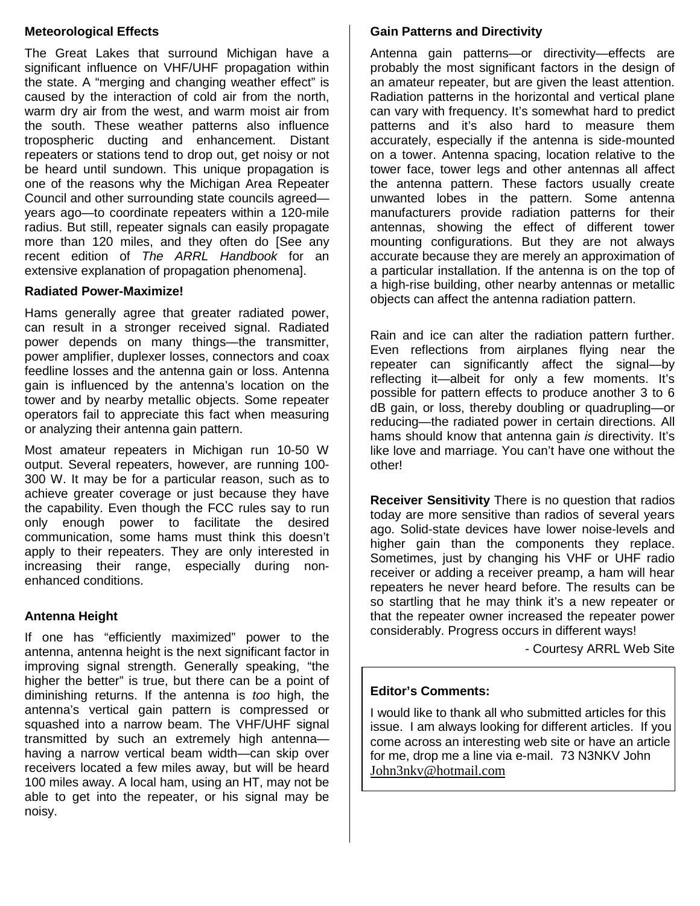#### **Meteorological Effects**

The Great Lakes that surround Michigan have a significant influence on VHF/UHF propagation within the state. A "merging and changing weather effect" is caused by the interaction of cold air from the north, warm dry air from the west, and warm moist air from the south. These weather patterns also influence tropospheric ducting and enhancement. Distant repeaters or stations tend to drop out, get noisy or not be heard until sundown. This unique propagation is one of the reasons why the Michigan Area Repeater Council and other surrounding state councils agreed years ago—to coordinate repeaters within a 120-mile radius. But still, repeater signals can easily propagate more than 120 miles, and they often do [See any recent edition of *The ARRL Handbook* for an extensive explanation of propagation phenomena].

#### **Radiated Power-Maximize!**

Hams generally agree that greater radiated power, can result in a stronger received signal. Radiated power depends on many things—the transmitter, power amplifier, duplexer losses, connectors and coax feedline losses and the antenna gain or loss. Antenna gain is influenced by the antenna's location on the tower and by nearby metallic objects. Some repeater operators fail to appreciate this fact when measuring or analyzing their antenna gain pattern.

Most amateur repeaters in Michigan run 10-50 W output. Several repeaters, however, are running 100- 300 W. It may be for a particular reason, such as to achieve greater coverage or just because they have the capability. Even though the FCC rules say to run only enough power to facilitate the desired communication, some hams must think this doesn't apply to their repeaters. They are only interested in increasing their range, especially during nonenhanced conditions.

#### **Antenna Height**

If one has "efficiently maximized" power to the antenna, antenna height is the next significant factor in improving signal strength. Generally speaking, "the higher the better" is true, but there can be a point of diminishing returns. If the antenna is *too* high, the antenna's vertical gain pattern is compressed or squashed into a narrow beam. The VHF/UHF signal transmitted by such an extremely high antenna having a narrow vertical beam width—can skip over receivers located a few miles away, but will be heard 100 miles away. A local ham, using an HT, may not be able to get into the repeater, or his signal may be noisy.

#### **Gain Patterns and Directivity**

Antenna gain patterns—or directivity—effects are probably the most significant factors in the design of an amateur repeater, but are given the least attention. Radiation patterns in the horizontal and vertical plane can vary with frequency. It's somewhat hard to predict patterns and it's also hard to measure them accurately, especially if the antenna is side-mounted on a tower. Antenna spacing, location relative to the tower face, tower legs and other antennas all affect the antenna pattern. These factors usually create unwanted lobes in the pattern. Some antenna manufacturers provide radiation patterns for their antennas, showing the effect of different tower mounting configurations. But they are not always accurate because they are merely an approximation of a particular installation. If the antenna is on the top of a high-rise building, other nearby antennas or metallic objects can affect the antenna radiation pattern.

Rain and ice can alter the radiation pattern further. Even reflections from airplanes flying near the repeater can significantly affect the signal—by reflecting it—albeit for only a few moments. It's possible for pattern effects to produce another 3 to 6 dB gain, or loss, thereby doubling or quadrupling—or reducing—the radiated power in certain directions. All hams should know that antenna gain *is* directivity. It's like love and marriage. You can't have one without the other!

**Receiver Sensitivity** There is no question that radios today are more sensitive than radios of several years ago. Solid-state devices have lower noise-levels and higher gain than the components they replace. Sometimes, just by changing his VHF or UHF radio receiver or adding a receiver preamp, a ham will hear repeaters he never heard before. The results can be so startling that he may think it's a new repeater or that the repeater owner increased the repeater power considerably. Progress occurs in different ways!

- Courtesy ARRL Web Site

#### **Editor's Comments:**

I would like to thank all who submitted articles for this issue. I am always looking for different articles. If you come across an interesting web site or have an article for me, drop me a line via e-mail. 73 N3NKV John John3nkv@hotmail.com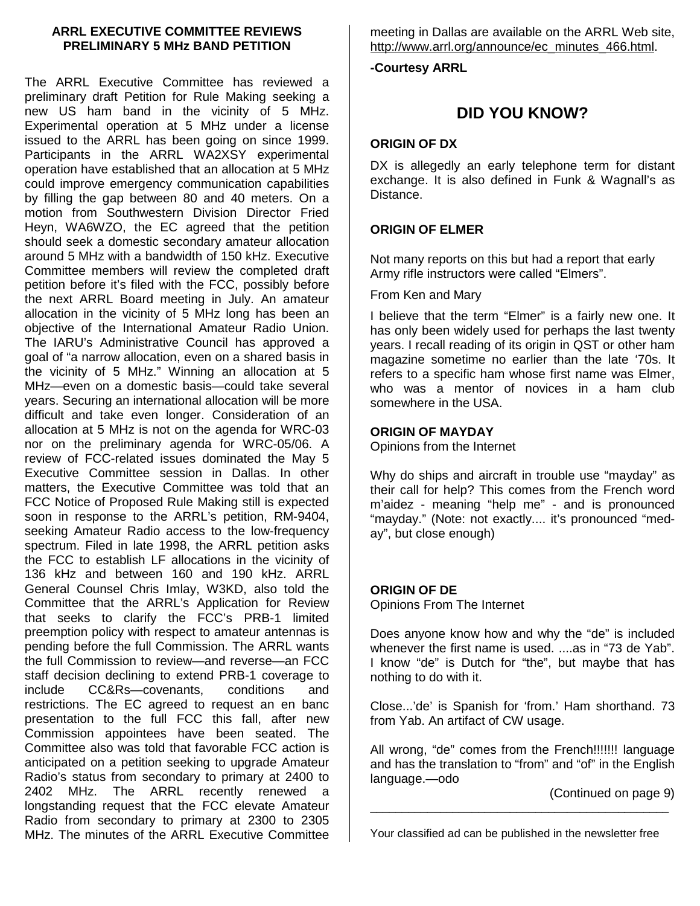#### **ARRL EXECUTIVE COMMITTEE REVIEWS PRELIMINARY 5 MHz BAND PETITION**

The ARRL Executive Committee has reviewed a preliminary draft Petition for Rule Making seeking a new US ham band in the vicinity of 5 MHz. Experimental operation at 5 MHz under a license issued to the ARRL has been going on since 1999. Participants in the ARRL WA2XSY experimental operation have established that an allocation at 5 MHz could improve emergency communication capabilities by filling the gap between 80 and 40 meters. On a motion from Southwestern Division Director Fried Heyn, WA6WZO, the EC agreed that the petition should seek a domestic secondary amateur allocation around 5 MHz with a bandwidth of 150 kHz. Executive Committee members will review the completed draft petition before it's filed with the FCC, possibly before the next ARRL Board meeting in July. An amateur allocation in the vicinity of 5 MHz long has been an objective of the International Amateur Radio Union. The IARU's Administrative Council has approved a goal of "a narrow allocation, even on a shared basis in the vicinity of 5 MHz." Winning an allocation at 5 MHz—even on a domestic basis—could take several years. Securing an international allocation will be more difficult and take even longer. Consideration of an allocation at 5 MHz is not on the agenda for WRC-03 nor on the preliminary agenda for WRC-05/06. A review of FCC-related issues dominated the May 5 Executive Committee session in Dallas. In other matters, the Executive Committee was told that an FCC Notice of Proposed Rule Making still is expected soon in response to the ARRL's petition, RM-9404, seeking Amateur Radio access to the low-frequency spectrum. Filed in late 1998, the ARRL petition asks the FCC to establish LF allocations in the vicinity of 136 kHz and between 160 and 190 kHz. ARRL General Counsel Chris Imlay, W3KD, also told the Committee that the ARRL's Application for Review that seeks to clarify the FCC's PRB-1 limited preemption policy with respect to amateur antennas is pending before the full Commission. The ARRL wants the full Commission to review—and reverse—an FCC staff decision declining to extend PRB-1 coverage to include CC&Rs—covenants, conditions and restrictions. The EC agreed to request an en banc presentation to the full FCC this fall, after new Commission appointees have been seated. The Committee also was told that favorable FCC action is anticipated on a petition seeking to upgrade Amateur Radio's status from secondary to primary at 2400 to 2402 MHz. The ARRL recently renewed a longstanding request that the FCC elevate Amateur Radio from secondary to primary at 2300 to 2305 MHz. The minutes of the ARRL Executive Committee

meeting in Dallas are available on the ARRL Web site, http://www.arrl.org/announce/ec\_minutes\_466.html.

**-Courtesy ARRL**

# **DID YOU KNOW?**

#### **ORIGIN OF DX**

DX is allegedly an early telephone term for distant exchange. It is also defined in Funk & Wagnall's as Distance.

#### **ORIGIN OF ELMER**

Not many reports on this but had a report that early Army rifle instructors were called "Elmers".

From Ken and Mary

I believe that the term "Elmer" is a fairly new one. It has only been widely used for perhaps the last twenty years. I recall reading of its origin in QST or other ham magazine sometime no earlier than the late '70s. It refers to a specific ham whose first name was Elmer, who was a mentor of novices in a ham club somewhere in the USA.

#### **ORIGIN OF MAYDAY**

Opinions from the Internet

Why do ships and aircraft in trouble use "mayday" as their call for help? This comes from the French word m'aidez - meaning "help me" - and is pronounced "mayday." (Note: not exactly.... it's pronounced "meday", but close enough)

#### **ORIGIN OF DE**

Opinions From The Internet

Does anyone know how and why the "de" is included whenever the first name is used. ....as in "73 de Yab". I know "de" is Dutch for "the", but maybe that has nothing to do with it.

Close...'de' is Spanish for 'from.' Ham shorthand. 73 from Yab. An artifact of CW usage.

All wrong, "de" comes from the French!!!!!!! language and has the translation to "from" and "of" in the English language.—odo

(Continued on page 9)

Your classified ad can be published in the newsletter free

\_\_\_\_\_\_\_\_\_\_\_\_\_\_\_\_\_\_\_\_\_\_\_\_\_\_\_\_\_\_\_\_\_\_\_\_\_\_\_\_\_\_\_\_\_\_\_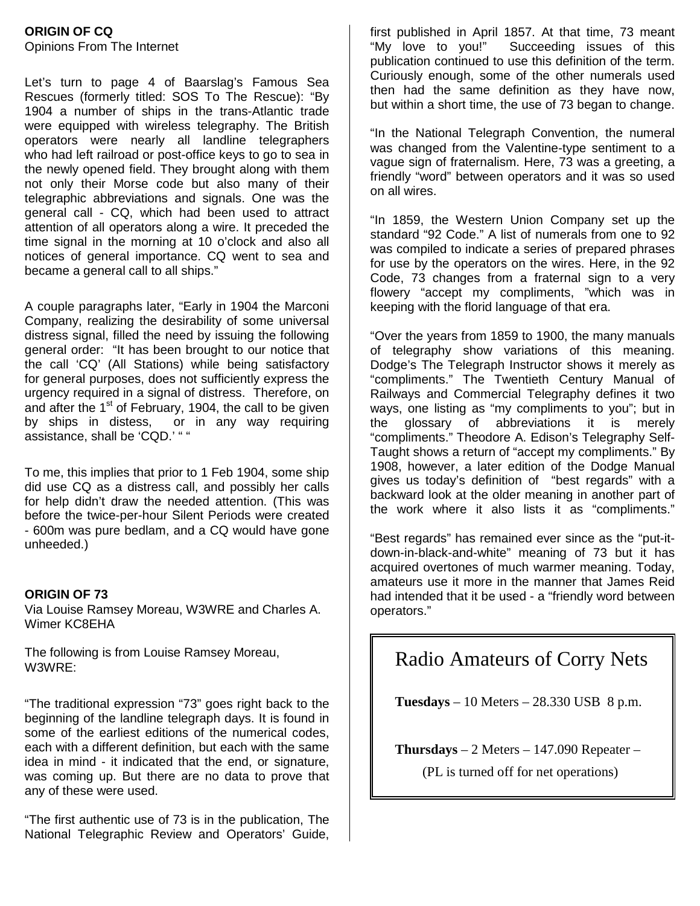#### **ORIGIN OF CQ** Opinions From The Internet

Let's turn to page 4 of Baarslag's Famous Sea Rescues (formerly titled: SOS To The Rescue): "By 1904 a number of ships in the trans-Atlantic trade were equipped with wireless telegraphy. The British operators were nearly all landline telegraphers who had left railroad or post-office keys to go to sea in the newly opened field. They brought along with them not only their Morse code but also many of their telegraphic abbreviations and signals. One was the general call - CQ, which had been used to attract attention of all operators along a wire. It preceded the time signal in the morning at 10 o'clock and also all notices of general importance. CQ went to sea and became a general call to all ships."

A couple paragraphs later, "Early in 1904 the Marconi Company, realizing the desirability of some universal distress signal, filled the need by issuing the following general order: "It has been brought to our notice that the call 'CQ' (All Stations) while being satisfactory for general purposes, does not sufficiently express the urgency required in a signal of distress. Therefore, on and after the 1<sup>st</sup> of February, 1904, the call to be given by ships in distess, or in any way requiring assistance, shall be 'CQD.' " "

To me, this implies that prior to 1 Feb 1904, some ship did use CQ as a distress call, and possibly her calls for help didn't draw the needed attention. (This was before the twice-per-hour Silent Periods were created - 600m was pure bedlam, and a CQ would have gone unheeded.)

#### **ORIGIN OF 73**

Via Louise Ramsey Moreau, W3WRE and Charles A. Wimer KC8EHA

The following is from Louise Ramsey Moreau, W3WRE:

"The traditional expression "73" goes right back to the beginning of the landline telegraph days. It is found in some of the earliest editions of the numerical codes, each with a different definition, but each with the same idea in mind - it indicated that the end, or signature, was coming up. But there are no data to prove that any of these were used.

"The first authentic use of 73 is in the publication, The National Telegraphic Review and Operators' Guide,

first published in April 1857. At that time, 73 meant "My love to you!" Succeeding issues of this publication continued to use this definition of the term. Curiously enough, some of the other numerals used then had the same definition as they have now, but within a short time, the use of 73 began to change.

"In the National Telegraph Convention, the numeral was changed from the Valentine-type sentiment to a vague sign of fraternalism. Here, 73 was a greeting, a friendly "word" between operators and it was so used on all wires.

"In 1859, the Western Union Company set up the standard "92 Code." A list of numerals from one to 92 was compiled to indicate a series of prepared phrases for use by the operators on the wires. Here, in the 92 Code, 73 changes from a fraternal sign to a very flowery "accept my compliments, "which was in keeping with the florid language of that era.

"Over the years from 1859 to 1900, the many manuals of telegraphy show variations of this meaning. Dodge's The Telegraph Instructor shows it merely as "compliments." The Twentieth Century Manual of Railways and Commercial Telegraphy defines it two ways, one listing as "my compliments to you"; but in the glossary of abbreviations it is merely "compliments." Theodore A. Edison's Telegraphy Self-Taught shows a return of "accept my compliments." By 1908, however, a later edition of the Dodge Manual gives us today's definition of "best regards" with a backward look at the older meaning in another part of the work where it also lists it as "compliments."

"Best regards" has remained ever since as the "put-itdown-in-black-and-white" meaning of 73 but it has acquired overtones of much warmer meaning. Today, amateurs use it more in the manner that James Reid had intended that it be used - a "friendly word between operators."

# Radio Amateurs of Corry Nets

**Tuesdays** – 10 Meters – 28.330 USB 8 p.m.

**Thursdays** – 2 Meters – 147.090 Repeater –

(PL is turned off for net operations)